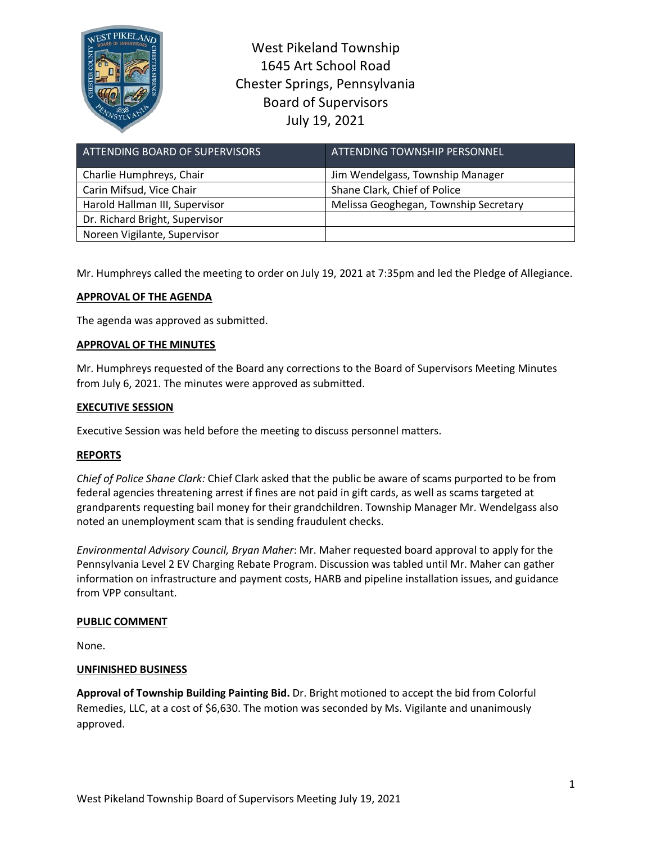

West Pikeland Township 1645 Art School Road Chester Springs, Pennsylvania Board of Supervisors July 19, 2021

| ATTENDING BOARD OF SUPERVISORS | <b>ATTENDING TOWNSHIP PERSONNEL</b>   |
|--------------------------------|---------------------------------------|
| Charlie Humphreys, Chair       | Jim Wendelgass, Township Manager      |
| Carin Mifsud, Vice Chair       | Shane Clark, Chief of Police          |
| Harold Hallman III, Supervisor | Melissa Geoghegan, Township Secretary |
| Dr. Richard Bright, Supervisor |                                       |
| Noreen Vigilante, Supervisor   |                                       |

Mr. Humphreys called the meeting to order on July 19, 2021 at 7:35pm and led the Pledge of Allegiance.

# **APPROVAL OF THE AGENDA**

The agenda was approved as submitted.

## **APPROVAL OF THE MINUTES**

Mr. Humphreys requested of the Board any corrections to the Board of Supervisors Meeting Minutes from July 6, 2021. The minutes were approved as submitted.

## **EXECUTIVE SESSION**

Executive Session was held before the meeting to discuss personnel matters.

## **REPORTS**

*Chief of Police Shane Clark:* Chief Clark asked that the public be aware of scams purported to be from federal agencies threatening arrest if fines are not paid in gift cards, as well as scams targeted at grandparents requesting bail money for their grandchildren. Township Manager Mr. Wendelgass also noted an unemployment scam that is sending fraudulent checks.

*Environmental Advisory Council, Bryan Maher*: Mr. Maher requested board approval to apply for the Pennsylvania Level 2 EV Charging Rebate Program. Discussion was tabled until Mr. Maher can gather information on infrastructure and payment costs, HARB and pipeline installation issues, and guidance from VPP consultant.

## **PUBLIC COMMENT**

None.

## **UNFINISHED BUSINESS**

**Approval of Township Building Painting Bid.** Dr. Bright motioned to accept the bid from Colorful Remedies, LLC, at a cost of \$6,630. The motion was seconded by Ms. Vigilante and unanimously approved.